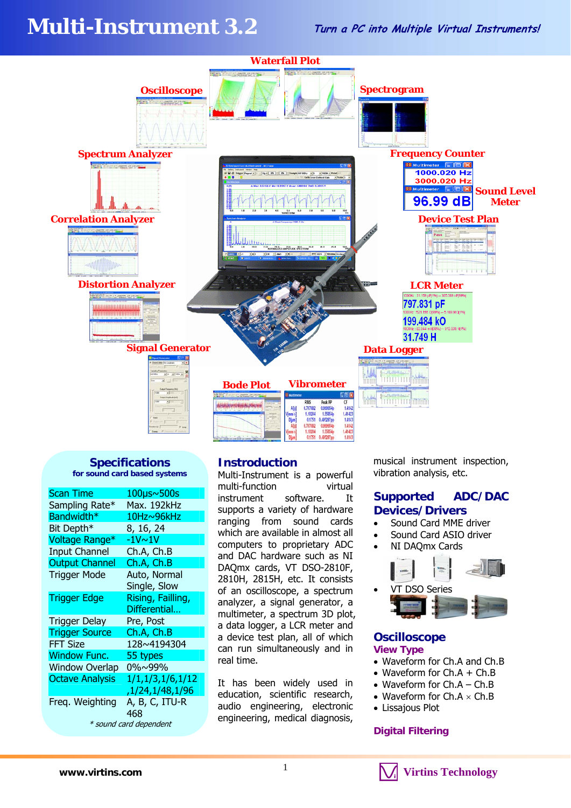# **Multi-Instrument 3.2 Turn a PC into Multiple Virtual Instruments!**



# **Specifications for sound card based systems**

| <b>Scan Time</b>       | $100\mu s \sim 500s$ |
|------------------------|----------------------|
| Sampling Rate*         | Max. 192kHz          |
| Bandwidth*             | 10Hz~96kHz           |
| Bit Depth*             | 8, 16, 24            |
| Voltage Range*         | -1V~1V               |
| <b>Input Channel</b>   | Ch.A, Ch.B           |
| <b>Output Channel</b>  | Ch.A, Ch.B           |
| <b>Trigger Mode</b>    | Auto, Normal         |
|                        | Single, Slow         |
| <b>Trigger Edge</b>    | Rising, Failling,    |
|                        | Differential         |
| Trigger Delay          | Pre, Post            |
| <b>Trigger Source</b>  | Ch.A, Ch.B           |
| <b>FFT Size</b>        | 128~4194304          |
| <b>Window Func.</b>    | 55 types             |
| <b>Window Overlap</b>  | 0%~99%               |
| <b>Octave Analysis</b> | 1/1,1/3,1/6,1/12     |
|                        | ,1/24,1/48,1/96      |
| Freq. Weighting        | A, B, C, ITU-R       |
|                        | 468                  |
| * sound card dependent |                      |
|                        |                      |

# **Instroduction**

Multi-Instrument is a powerful multi-function virtual instrument software. It supports a variety of hardware ranging from sound cards which are available in almost all computers to proprietary ADC and DAC hardware such as NI DAQmx cards, VT DSO-2810F, 2810H, 2815H, etc. It consists of an oscilloscope, a spectrum analyzer, a signal generator, a multimeter, a spectrum 3D plot, a data logger, a LCR meter and a device test plan, all of which can run simultaneously and in real time.

It has been widely used in education, scientific research, audio engineering, electronic engineering, medical diagnosis,

musical instrument inspection, vibration analysis, etc.

# **Supported ADC/DAC Devices/Drivers**

- Sound Card MME driver
- Sound Card ASIO driver
- NI DAQmx Cards



#### **Oscilloscope View Type**

- Waveform for Ch.A and Ch.B
- Waveform for  $Ch.A + Ch.B$
- Waveform for  $Ch.A Ch.B$
- Waveform for Ch.A  $\times$  Ch.B
- Lissajous Plot

# **Digital Filtering**

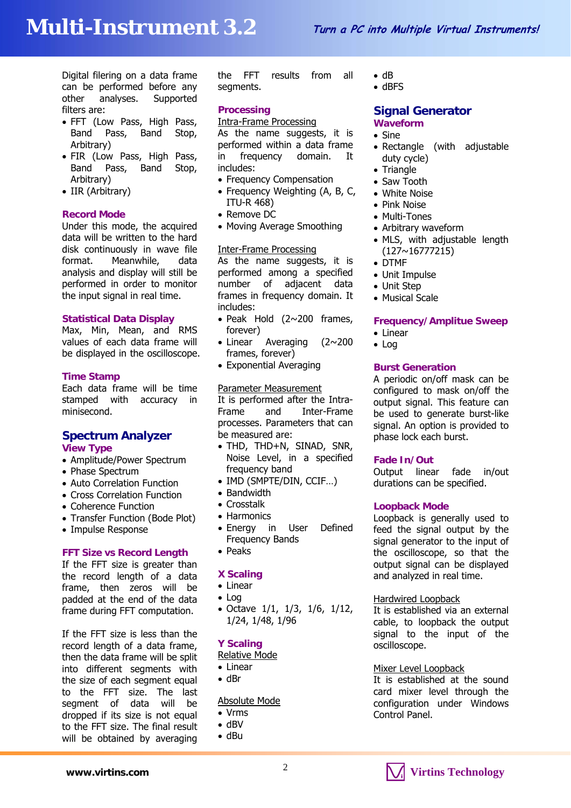Digital filering on a data frame can be performed before any other analyses. Supported filters are:

- FFT (Low Pass, High Pass, Band Pass, Band Stop, Arbitrary)
- FIR (Low Pass, High Pass, Band Pass, Band Stop, Arbitrary)
- IIR (Arbitrary)

#### **Record Mode**

Under this mode, the acquired data will be written to the hard disk continuously in wave file format. Meanwhile, data analysis and display will still be performed in order to monitor the input signal in real time.

#### **Statistical Data Display**

Max, Min, Mean, and RMS values of each data frame will be displayed in the oscilloscope.

#### **Time Stamp**

Each data frame will be time stamped with accuracy in minisecond.

# **Spectrum Analyzer**

# **View Type**

- Amplitude/Power Spectrum
- Phase Spectrum
- Auto Correlation Function
- Cross Correlation Function
- Coherence Function
- Transfer Function (Bode Plot)
- Impulse Response

### **FFT Size vs Record Length**

If the FFT size is greater than the record length of a data frame, then zeros will be padded at the end of the data frame during FFT computation.

If the FFT size is less than the record length of a data frame, then the data frame will be split into different segments with the size of each segment equal to the FFT size. The last segment of data will be dropped if its size is not equal to the FFT size. The final result will be obtained by averaging

the FFT results from all segments.

#### **Processing**

Intra-Frame Processing As the name suggests, it is performed within a data frame in frequency domain. It includes:

- Frequency Compensation
- Frequency Weighting (A, B, C, ITU-R 468)
- Remove DC
- Moving Average Smoothing

#### Inter-Frame Processing

As the name suggests, it is performed among a specified number of adjacent data frames in frequency domain. It includes:

- $\bullet$  Peak Hold (2~200 frames, forever)
- Linear Averaging (2~200 frames, forever)
- Exponential Averaging

# Parameter Measurement

It is performed after the Intra-Frame and Inter-Frame processes. Parameters that can be measured are:

- THD, THD+N, SINAD, SNR, Noise Level, in a specified frequency band
- IMD (SMPTE/DIN, CCIF...)
- Bandwidth
- Crosstalk
- Harmonics
- Energy in User Defined Frequency Bands
- Peaks

#### **X Scaling**

- Linear
- Log
- Octave 1/1, 1/3, 1/6, 1/12, 1/24, 1/48, 1/96

#### **Y Scaling**

- Relative Mode
- Linear
- dBr

### Absolute Mode

- Vrms
- dBV
- dBu
- $\bullet$  dB
- dBFS

#### **Signal Generator Waveform**

- Sine
- Rectangle (with adjustable duty cycle)
- Triangle
- Saw Tooth
- White Noise
- Pink Noise
- Multi-Tones
- Arbitrary waveform
- MLS, with adjustable length (127~16777215)
- DTMF
- Unit Impulse
- Unit Step
- Musical Scale

#### **Frequency/Amplitue Sweep**

- Linear
- Log

#### **Burst Generation**

A periodic on/off mask can be configured to mask on/off the output signal. This feature can be used to generate burst-like signal. An option is provided to phase lock each burst.

#### **Fade In/Out**

Output linear fade in/out durations can be specified.

#### **Loopback Mode**

Loopback is generally used to feed the signal output by the signal generator to the input of the oscilloscope, so that the output signal can be displayed and analyzed in real time.

#### Hardwired Loopback

It is established via an external cable, to loopback the output signal to the input of the oscilloscope.

#### Mixer Level Loopback

It is established at the sound card mixer level through the configuration under Windows Control Panel.

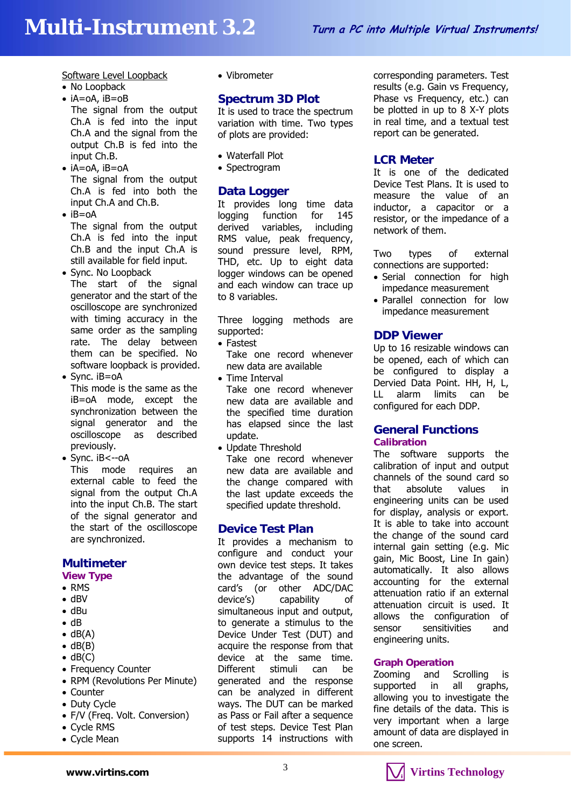Software Level Loopback

- No Loopback
- iA=oA, iB=oB The signal from the output Ch.A is fed into the input Ch.A and the signal from the output Ch.B is fed into the input Ch.B.
- iA=oA, iB=oA The signal from the output Ch.A is fed into both the input Ch.A and Ch.B.
- $\bullet$  iB=oA The signal from the output Ch.A is fed into the input Ch.B and the input Ch.A is still available for field input.
- Sync. No Loopback The start of the signal generator and the start of the oscilloscope are synchronized with timing accuracy in the same order as the sampling rate. The delay between them can be specified. No software loopback is provided.
- Sync. iB=oA This mode is the same as the iB=oA mode, except the synchronization between the signal generator and the oscilloscope as described previously.
- Sync. iB<--oA This mode requires an external cable to feed the signal from the output Ch.A into the input Ch.B. The start of the signal generator and the start of the oscilloscope are synchronized.

# **Multimeter**

- **View Type**
- RMS
- dBV
- dBu
- $\bullet$  dB
- $\bullet$  dB(A)
- $\bullet$  dB(B)
- $\bullet$  dB(C)
- Frequency Counter
- RPM (Revolutions Per Minute)
- Counter
- Duty Cycle
- F/V (Freq. Volt. Conversion)
- Cycle RMS
- Cycle Mean

Vibrometer

# **Spectrum 3D Plot**

It is used to trace the spectrum variation with time. Two types of plots are provided:

- Waterfall Plot
- Spectrogram

# **Data Logger**

It provides long time data logging function for 145 derived variables, including RMS value, peak frequency, sound pressure level, RPM, THD, etc. Up to eight data logger windows can be opened and each window can trace up to 8 variables.

Three logging methods are supported:

- Fastest Take one record whenever new data are available
- Time Interval Take one record whenever new data are available and the specified time duration has elapsed since the last update.
- Update Threshold Take one record whenever new data are available and the change compared with the last update exceeds the specified update threshold.

# **Device Test Plan**

It provides a mechanism to configure and conduct your own device test steps. It takes the advantage of the sound card's (or other ADC/DAC device's) capability of simultaneous input and output, to generate a stimulus to the Device Under Test (DUT) and acquire the response from that device at the same time. Different stimuli can be generated and the response can be analyzed in different ways. The DUT can be marked as Pass or Fail after a sequence of test steps. Device Test Plan supports 14 instructions with corresponding parameters. Test results (e.g. Gain vs Frequency, Phase vs Frequency, etc.) can be plotted in up to 8 X-Y plots in real time, and a textual test report can be generated.

# **LCR Meter**

It is one of the dedicated Device Test Plans. It is used to measure the value of an inductor, a capacitor or a resistor, or the impedance of a network of them.

Two types of external connections are supported:

- Serial connection for high impedance measurement
- Parallel connection for low impedance measurement

# **DDP Viewer**

Up to 16 resizable windows can be opened, each of which can be configured to display a Dervied Data Point. HH, H, L, LL alarm limits can be configured for each DDP.

# **General Functions Calibration**

The software supports the calibration of input and output channels of the sound card so that absolute values in engineering units can be used for display, analysis or export. It is able to take into account the change of the sound card internal gain setting (e.g. Mic gain, Mic Boost, Line In gain) automatically. It also allows accounting for the external attenuation ratio if an external attenuation circuit is used. It allows the configuration of sensor sensitivities and engineering units.

# **Graph Operation**

Zooming and Scrolling is supported in all graphs, allowing you to investigate the fine details of the data. This is very important when a large amount of data are displayed in one screen.